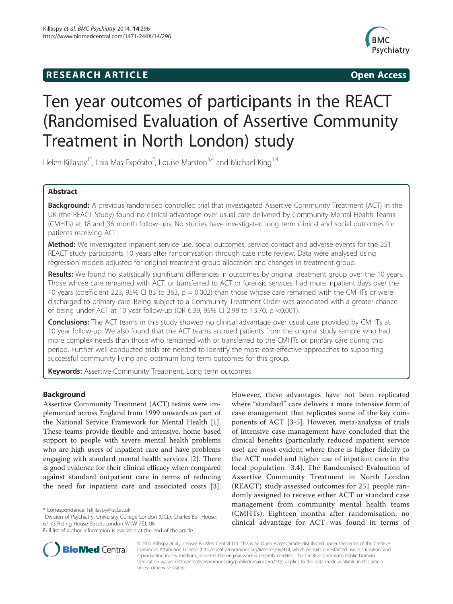## **RESEARCH ARTICLE Example 2014 CONSIDERING CONSIDERING CONSIDERING CONSIDERING CONSIDERING CONSIDERING CONSIDERING CONSIDERING CONSIDERING CONSIDERING CONSIDERING CONSIDERING CONSIDERING CONSIDERING CONSIDERING CONSIDE**



# Ten year outcomes of participants in the REACT (Randomised Evaluation of Assertive Community Treatment in North London) study

Helen Killaspy<sup>1\*</sup>, Laia Mas-Expósito<sup>2</sup>, Louise Marston<sup>3,4</sup> and Michael King<sup>1,4</sup>

## Abstract

Background: A previous randomised controlled trial that investigated Assertive Community Treatment (ACT) in the UK (the REACT Study) found no clinical advantage over usual care delivered by Community Mental Health Teams (CMHTs) at 18 and 36 month follow-ups. No studies have investigated long term clinical and social outcomes for patients receiving ACT.

Method: We investigated inpatient service use, social outcomes, service contact and adverse events for the 251 REACT study participants 10 years after randomisation through case note review. Data were analysed using regression models adjusted for original treatment group allocation and changes in treatment group.

Results: We found no statistically significant differences in outcomes by original treatment group over the 10 years. Those whose care remained with ACT, or transferred to ACT or forensic services, had more inpatient days over the 10 years (coefficient 223, 95% CI 83 to 363,  $p = 0.002$ ) than those whose care remained with the CMHTs or were discharged to primary care. Being subject to a Community Treatment Order was associated with a greater chance of being under ACT at 10 year follow-up (OR 6.39, 95% CI 2.98 to 13.70, p <0.001).

**Conclusions:** The ACT teams in this study showed no clinical advantage over usual care provided by CMHTs at 10 year follow-up. We also found that the ACT teams accrued patients from the original study sample who had more complex needs than those who remained with or transferred to the CMHTs or primary care during this period. Further well conducted trials are needed to identify the most cost-effective approaches to supporting successful community living and optimum long term outcomes for this group.

Keywords: Assertive Community Treatment, Long term outcomes

## Background

Assertive Community Treatment (ACT) teams were implemented across England from 1999 onwards as part of the National Service Framework for Mental Health [\[1](#page-5-0)]. These teams provide flexible and intensive, home based support to people with severe mental health problems who are high users of inpatient care and have problems engaging with standard mental health services [\[2\]](#page-5-0). There is good evidence for their clinical efficacy when compared against standard outpatient care in terms of reducing the need for inpatient care and associated costs [\[3](#page-5-0)].

However, these advantages have not been replicated where "standard" care delivers a more intensive form of case management that replicates some of the key components of ACT [[3-5\]](#page-5-0). However, meta-analysis of trials of intensive case management have concluded that the clinical benefits (particularly reduced inpatient service use) are most evident where there is higher fidelity to the ACT model and higher use of inpatient care in the local population [[3](#page-5-0),[4\]](#page-5-0). The Randomised Evaluation of Assertive Community Treatment in North London (REACT) study assessed outcomes for 251 people randomly assigned to receive either ACT or standard case management from community mental health teams (CMHTs). Eighteen months after randomisation, no clinical advantage for ACT was found in terms of



© 2014 Killaspy et al.; licensee BioMed Central Ltd. This is an Open Access article distributed under the terms of the Creative Commons Attribution License [\(http://creativecommons.org/licenses/by/4.0\)](http://creativecommons.org/licenses/by/4.0), which permits unrestricted use, distribution, and reproduction in any medium, provided the original work is properly credited. The Creative Commons Public Domain Dedication waiver [\(http://creativecommons.org/publicdomain/zero/1.0/](http://creativecommons.org/publicdomain/zero/1.0/)) applies to the data made available in this article, unless otherwise stated.

<sup>\*</sup> Correspondence: [h.killaspy@ucl.ac.uk](mailto:h.killaspy@ucl.ac.uk) <sup>1</sup>

<sup>&</sup>lt;sup>1</sup> Division of Psychiatry, University College London (UCL), Charles Bell House, 67-73 Riding House Street, London W1W 7EJ, UK

Full list of author information is available at the end of the article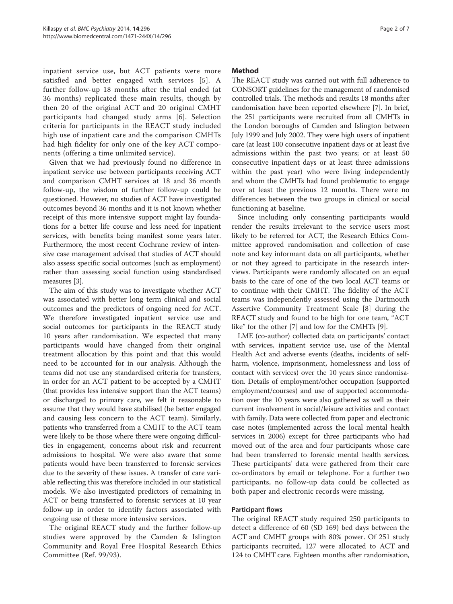inpatient service use, but ACT patients were more satisfied and better engaged with services [\[5\]](#page-5-0). A further follow-up 18 months after the trial ended (at 36 months) replicated these main results, though by then 20 of the original ACT and 20 original CMHT participants had changed study arms [[6](#page-5-0)]. Selection criteria for participants in the REACT study included high use of inpatient care and the comparison CMHTs had high fidelity for only one of the key ACT components (offering a time unlimited service).

Given that we had previously found no difference in inpatient service use between participants receiving ACT and comparison CMHT services at 18 and 36 month follow-up, the wisdom of further follow-up could be questioned. However, no studies of ACT have investigated outcomes beyond 36 months and it is not known whether receipt of this more intensive support might lay foundations for a better life course and less need for inpatient services, with benefits being manifest some years later. Furthermore, the most recent Cochrane review of intensive case management advised that studies of ACT should also assess specific social outcomes (such as employment) rather than assessing social function using standardised measures [[3\]](#page-5-0).

The aim of this study was to investigate whether ACT was associated with better long term clinical and social outcomes and the predictors of ongoing need for ACT. We therefore investigated inpatient service use and social outcomes for participants in the REACT study 10 years after randomisation. We expected that many participants would have changed from their original treatment allocation by this point and that this would need to be accounted for in our analysis. Although the teams did not use any standardised criteria for transfers, in order for an ACT patient to be accepted by a CMHT (that provides less intensive support than the ACT teams) or discharged to primary care, we felt it reasonable to assume that they would have stabilised (be better engaged and causing less concern to the ACT team). Similarly, patients who transferred from a CMHT to the ACT team were likely to be those where there were ongoing difficulties in engagement, concerns about risk and recurrent admissions to hospital. We were also aware that some patients would have been transferred to forensic services due to the severity of these issues. A transfer of care variable reflecting this was therefore included in our statistical models. We also investigated predictors of remaining in ACT or being transferred to forensic services at 10 year follow-up in order to identify factors associated with ongoing use of these more intensive services.

The original REACT study and the further follow-up studies were approved by the Camden & Islington Community and Royal Free Hospital Research Ethics Committee (Ref. 99/93).

## Method

The REACT study was carried out with full adherence to CONSORT guidelines for the management of randomised controlled trials. The methods and results 18 months after randomisation have been reported elsewhere [\[7\]](#page-5-0). In brief, the 251 participants were recruited from all CMHTs in the London boroughs of Camden and Islington between July 1999 and July 2002. They were high users of inpatient care (at least 100 consecutive inpatient days or at least five admissions within the past two years; or at least 50 consecutive inpatient days or at least three admissions within the past year) who were living independently and whom the CMHTs had found problematic to engage over at least the previous 12 months. There were no differences between the two groups in clinical or social functioning at baseline.

Since including only consenting participants would render the results irrelevant to the service users most likely to be referred for ACT, the Research Ethics Committee approved randomisation and collection of case note and key informant data on all participants, whether or not they agreed to participate in the research interviews. Participants were randomly allocated on an equal basis to the care of one of the two local ACT teams or to continue with their CMHT. The fidelity of the ACT teams was independently assessed using the Dartmouth Assertive Community Treatment Scale [[8\]](#page-5-0) during the REACT study and found to be high for one team, "ACT like" for the other [[7\]](#page-5-0) and low for the CMHTs [[9\]](#page-5-0).

LME (co-author) collected data on participants' contact with services, inpatient service use, use of the Mental Health Act and adverse events (deaths, incidents of selfharm, violence, imprisonment, homelessness and loss of contact with services) over the 10 years since randomisation. Details of employment/other occupation (supported employment/courses) and use of supported accommodation over the 10 years were also gathered as well as their current involvement in social/leisure activities and contact with family. Data were collected from paper and electronic case notes (implemented across the local mental health services in 2006) except for three participants who had moved out of the area and four participants whose care had been transferred to forensic mental health services. These participants' data were gathered from their care co-ordinators by email or telephone. For a further two participants, no follow-up data could be collected as both paper and electronic records were missing.

#### Participant flows

The original REACT study required 250 participants to detect a difference of 60 (SD 169) bed days between the ACT and CMHT groups with 80% power. Of 251 study participants recruited, 127 were allocated to ACT and 124 to CMHT care. Eighteen months after randomisation,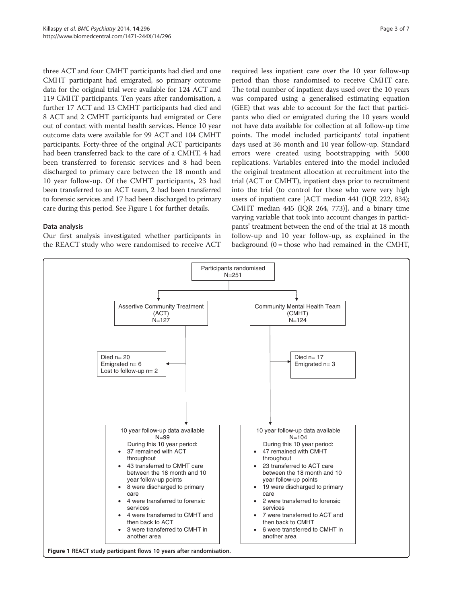three ACT and four CMHT participants had died and one CMHT participant had emigrated, so primary outcome data for the original trial were available for 124 ACT and 119 CMHT participants. Ten years after randomisation, a further 17 ACT and 13 CMHT participants had died and 8 ACT and 2 CMHT participants had emigrated or Cere out of contact with mental health services. Hence 10 year outcome data were available for 99 ACT and 104 CMHT participants. Forty-three of the original ACT participants had been transferred back to the care of a CMHT, 4 had been transferred to forensic services and 8 had been discharged to primary care between the 18 month and 10 year follow-up. Of the CMHT participants, 23 had been transferred to an ACT team, 2 had been transferred to forensic services and 17 had been discharged to primary care during this period. See Figure 1 for further details.

## Data analysis

Our first analysis investigated whether participants in the REACT study who were randomised to receive ACT

required less inpatient care over the 10 year follow-up period than those randomised to receive CMHT care. The total number of inpatient days used over the 10 years was compared using a generalised estimating equation (GEE) that was able to account for the fact that participants who died or emigrated during the 10 years would not have data available for collection at all follow-up time points. The model included participants' total inpatient days used at 36 month and 10 year follow-up. Standard errors were created using bootstrapping with 5000 replications. Variables entered into the model included the original treatment allocation at recruitment into the trial (ACT or CMHT), inpatient days prior to recruitment into the trial (to control for those who were very high users of inpatient care [ACT median 441 (IQR 222, 834); CMHT median 445 (IQR 264, 773)], and a binary time varying variable that took into account changes in participants' treatment between the end of the trial at 18 month follow-up and 10 year follow-up, as explained in the background  $(0 = those who had remained in the CMHT,$ 

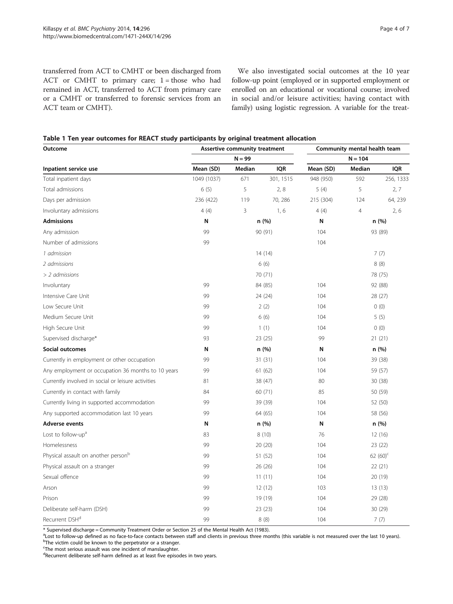<span id="page-3-0"></span>transferred from ACT to CMHT or been discharged from ACT or CMHT to primary care;  $1 =$  those who had remained in ACT, transferred to ACT from primary care or a CMHT or transferred to forensic services from an ACT team or CMHT).

We also investigated social outcomes at the 10 year follow-up point (employed or in supported employment or enrolled on an educational or vocational course; involved in social and/or leisure activities; having contact with family) using logistic regression. A variable for the treat-

Table 1 Ten year outcomes for REACT study participants by original treatment allocation

| Outcome                                            | <b>Assertive community treatment</b> |         |            | Community mental health team |                |               |
|----------------------------------------------------|--------------------------------------|---------|------------|------------------------------|----------------|---------------|
|                                                    | $N = 99$                             |         |            | $N = 104$                    |                |               |
| Inpatient service use                              | Mean (SD)                            | Median  | <b>IQR</b> | Mean (SD)                    | Median         | <b>IQR</b>    |
| Total inpatient days                               | 1049 (1037)                          | 671     | 301, 1515  | 948 (950)                    | 592            | 256, 1333     |
| Total admissions                                   | 6(5)                                 | 5       | 2, 8       | 5(4)                         | 5              | 2, 7          |
| Days per admission                                 | 236 (422)                            | 119     | 70, 286    | 215 (304)                    | 124            | 64, 239       |
| Involuntary admissions                             | 4(4)                                 | 3       | 1, 6       | 4(4)                         | $\overline{4}$ | 2,6           |
| <b>Admissions</b>                                  | N                                    |         | n (%)      | N                            |                | n(%)          |
| Any admission                                      | 99                                   | 90 (91) |            | 104                          | 93 (89)        |               |
| Number of admissions                               | 99                                   |         |            | 104                          |                |               |
| 1 admission                                        |                                      |         | 14(14)     |                              |                | 7(7)          |
| 2 admissions                                       |                                      |         | 6(6)       |                              | 8(8)           |               |
| $> 2$ admissions                                   |                                      |         | 70 (71)    |                              |                | 78 (75)       |
| Involuntary                                        | 99                                   | 84 (85) |            | 104                          | 92 (88)        |               |
| Intensive Care Unit                                | 99                                   | 24 (24) |            | 104                          | 28 (27)        |               |
| Low Secure Unit                                    | 99                                   | 2(2)    |            | 104                          | 0(0)           |               |
| Medium Secure Unit                                 | 99                                   | 6(6)    |            | 104                          | 5(5)           |               |
| High Secure Unit                                   | 99                                   | 1(1)    |            | 104                          | 0(0)           |               |
| Supervised discharge*                              | 93                                   |         | 23(25)     | 99                           |                | 21(21)        |
| Social outcomes                                    | N                                    |         | n (%)      | N                            |                | n(%)          |
| Currently in employment or other occupation        | 99                                   |         | 31(31)     | 104                          |                | 39 (38)       |
| Any employment or occupation 36 months to 10 years | 99                                   |         | 61(62)     | 104                          |                | 59 (57)       |
| Currently involved in social or leisure activities | 81                                   |         | 38 (47)    | 80                           |                | 30(38)        |
| Currently in contact with family                   | 84                                   |         | 60 (71)    | 85                           |                | 50 (59)       |
| Currently living in supported accommodation        | 99                                   |         | 39 (39)    | 104                          |                | 52 (50)       |
| Any supported accommodation last 10 years          | 99                                   |         | 64 (65)    | 104                          |                | 58 (56)       |
| <b>Adverse events</b>                              | N                                    |         | n (%)      | N                            |                | n(%)          |
| Lost to follow-up <sup>a</sup>                     | 83                                   |         | 8(10)      | 76                           |                | 12 (16)       |
| Homelessness                                       | 99                                   |         | 20(20)     | 104                          |                | 23(22)        |
| Physical assault on another person <sup>b</sup>    | 99                                   |         | 51 (52)    | 104                          |                | 62 $(60)^{c}$ |
| Physical assault on a stranger                     | 99                                   |         | 26 (26)    | 104                          |                | 22(21)        |
| Sexual offence                                     | 99                                   |         | 11(11)     | 104                          |                | 20 (19)       |
| Arson                                              | 99                                   |         | 12(12)     | 103                          |                | 13(13)        |
| Prison                                             | 99                                   |         | 19 (19)    | 104                          |                | 29 (28)       |
| Deliberate self-harm (DSH)                         | 99                                   |         | 23 (23)    | 104                          |                | 30 (29)       |
| Recurrent DSH <sup>d</sup>                         | 99                                   |         | 8(8)       | 104                          |                | 7(7)          |

\* Supervised discharge = Community Treatment Order or Section 25 of the Mental Health Act (1983).

a Lost to follow-up defined as no face-to-face contacts between staff and clients in previous three months (this variable is not measured over the last 10 years). by the victim could be known to the perpetrator or a strang <sup>b</sup>The victim could be known to the perpetrator or a stranger.

<sup>c</sup>The most serious assault was one incident of manslaughter.

<sup>d</sup>Recurrent deliberate self-harm defined as at least five episodes in two years.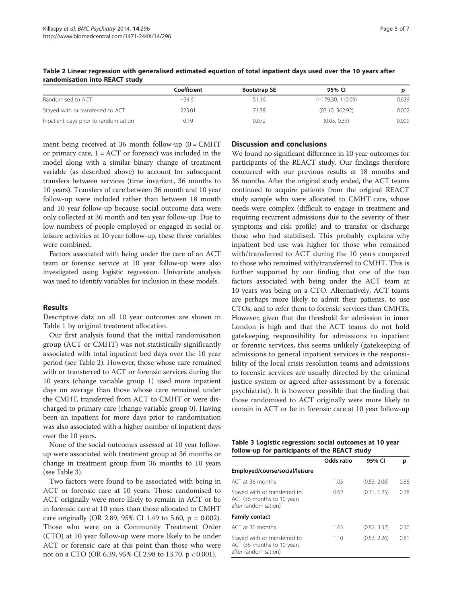|                                       | Coefficient | <b>Bootstrap SE</b> | 95% CI             |       |
|---------------------------------------|-------------|---------------------|--------------------|-------|
| Randomised to ACT                     | $-34.61$    | 51.16               | $(-179.30.110.09)$ | 0.639 |
| Stayed with or transferred to ACT     | 223.01      | 71.38               | (83.10, 362.92)    | 0.002 |
| Inpatient days prior to randomisation | 0.19        | 0.072               | (0.05, 0.33)       | 0.009 |

Table 2 Linear regression with generalised estimated equation of total inpatient days used over the 10 years after randomisation into REACT study

ment being received at 36 month follow-up  $(0 = \text{CMHT})$ or primary care,  $1 = ACT$  or forensic) was included in the model along with a similar binary change of treatment variable (as described above) to account for subsequent transfers between services (time invariant, 36 months to 10 years). Transfers of care between 36 month and 10 year follow-up were included rather than between 18 month and 10 year follow-up because social outcome data were only collected at 36 month and ten year follow-up. Due to low numbers of people employed or engaged in social or leisure activities at 10 year follow-up, these three variables were combined.

Factors associated with being under the care of an ACT team or forensic service at 10 year follow-up were also investigated using logistic regression. Univariate analysis was used to identify variables for inclusion in these models.

#### Results

Descriptive data on all 10 year outcomes are shown in Table [1](#page-3-0) by original treatment allocation.

Our first analysis found that the initial randomisation group (ACT or CMHT) was not statistically significantly associated with total inpatient bed days over the 10 year period (see Table 2). However, those whose care remained with or transferred to ACT or forensic services during the 10 years (change variable group 1) used more inpatient days on average than those whose care remained under the CMHT, transferred from ACT to CMHT or were discharged to primary care (change variable group 0). Having been an inpatient for more days prior to randomisation was also associated with a higher number of inpatient days over the 10 years.

None of the social outcomes assessed at 10 year followup were associated with treatment group at 36 months or change in treatment group from 36 months to 10 years (see Table 3).

Two factors were found to be associated with being in ACT or forensic care at 10 years. Those randomised to ACT originally were more likely to remain in ACT or be in forensic care at 10 years than those allocated to CMHT care originally (OR 2.89, 95% CI 1.49 to 5.60, p = 0.002). Those who were on a Community Treatment Order (CTO) at 10 year follow-up were more likely to be under ACT or forensic care at this point than those who were not on a CTO (OR 6.39, 95% CI 2.98 to 13.70, p < 0.001).

## Discussion and conclusions

We found no significant difference in 10 year outcomes for participants of the REACT study. Our findings therefore concurred with our previous results at 18 months and 36 months. After the original study ended, the ACT teams continued to acquire patients from the original REACT study sample who were allocated to CMHT care, whose needs were complex (difficult to engage in treatment and requiring recurrent admissions due to the severity of their symptoms and risk profile) and to transfer or discharge those who had stabilised. This probably explains why inpatient bed use was higher for those who remained with/transferred to ACT during the 10 years compared to those who remained with/transferred to CMHT. This is further supported by our finding that one of the two factors associated with being under the ACT team at 10 years was being on a CTO. Alternatively, ACT teams are perhaps more likely to admit their patients, to use CTOs, and to refer them to forensic services than CMHTs. However, given that the threshold for admission in inner London is high and that the ACT teams do not hold gatekeeping responsibility for admissions to inpatient or forensic services, this seems unlikely (gatekeeping of admissions to general inpatient services is the responsibility of the local crisis resolution teams and admissions to forensic services are usually directed by the criminal justice system or agreed after assessment by a forensic psychiatrist). It is however possible that the finding that those randomised to ACT originally were more likely to remain in ACT or be in forensic care at 10 year follow-up

Table 3 Logistic regression: social outcomes at 10 year follow-up for participants of the REACT study

|                                                                                     | Odds ratio           | 95% CI       | р    |
|-------------------------------------------------------------------------------------|----------------------|--------------|------|
| Employed/course/social/leisure                                                      |                      |              |      |
| ACT at 36 months                                                                    | (0.53, 2.08)<br>1.05 |              | 0.88 |
| Stayed with or transferred to<br>ACT (36 months to 10 years<br>after randomisation) | 0.62                 | (0.31, 1.25) | 0.18 |
| <b>Family contact</b>                                                               |                      |              |      |
| ACT at 36 months                                                                    | 1.65                 | (0.82, 3.32) | 0.16 |
| Stayed with or transferred to<br>ACT (36 months to 10 years<br>after randomisation) | 1.10                 | (0.53, 2.26) | 0.81 |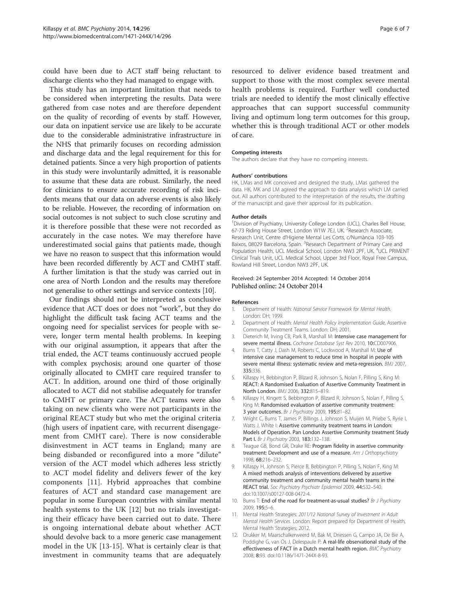<span id="page-5-0"></span>could have been due to ACT staff being reluctant to discharge clients who they had managed to engage with.

This study has an important limitation that needs to be considered when interpreting the results. Data were gathered from case notes and are therefore dependent on the quality of recording of events by staff. However, our data on inpatient service use are likely to be accurate due to the considerable administrative infrastructure in the NHS that primarily focuses on recording admission and discharge data and the legal requirement for this for detained patients. Since a very high proportion of patients in this study were involuntarily admitted, it is reasonable to assume that these data are robust. Similarly, the need for clinicians to ensure accurate recording of risk incidents means that our data on adverse events is also likely to be reliable. However, the recording of information on social outcomes is not subject to such close scrutiny and it is therefore possible that these were not recorded as accurately in the case notes. We may therefore have underestimated social gains that patients made, though we have no reason to suspect that this information would have been recorded differently by ACT and CMHT staff. A further limitation is that the study was carried out in one area of North London and the results may therefore not generalise to other settings and service contexts [10].

Our findings should not be interpreted as conclusive evidence that ACT does or does not "work", but they do highlight the difficult task facing ACT teams and the ongoing need for specialist services for people with severe, longer term mental health problems. In keeping with our original assumption, it appears that after the trial ended, the ACT teams continuously accrued people with complex psychosis; around one quarter of those originally allocated to CMHT care required transfer to ACT. In addition, around one third of those originally allocated to ACT did not stabilise adequately for transfer to CMHT or primary care. The ACT teams were also taking on new clients who were not participants in the original REACT study but who met the original criteria (high users of inpatient care, with recurrent disengagement from CMHT care). There is now considerable disinvestment in ACT teams in England; many are being disbanded or reconfigured into a more "dilute" version of the ACT model which adheres less strictly to ACT model fidelity and delivers fewer of the key components [11]. Hybrid approaches that combine features of ACT and standard case management are popular in some European countries with similar mental health systems to the UK [12] but no trials investigating their efficacy have been carried out to date. There is ongoing international debate about whether ACT should devolve back to a more generic case management model in the UK [[13-15\]](#page-6-0). What is certainly clear is that investment in community teams that are adequately

resourced to deliver evidence based treatment and support to those with the most complex severe mental health problems is required. Further well conducted trials are needed to identify the most clinically effective approaches that can support successful community living and optimum long term outcomes for this group, whether this is through traditional ACT or other models of care.

#### Competing interests

The authors declare that they have no competing interests.

#### Authors' contributions

HK, LMas and MK conceived and designed the study. LMas gathered the data. HK, MK and LM agreed the approach to data analysis which LM carried out. All authors contributed to the interpretation of the results, the drafting of the manuscript and gave their approval for its publication.

#### Author details

<sup>1</sup> Division of Psychiatry, University College London (UCL), Charles Bell House, 67-73 Riding House Street, London W1W 7EJ, UK. <sup>2</sup>Research Associate, Research Unit, Centre d'Higiene Mental Les Corts, c/Numància 103-105 Baixos, 08029 Barcelona, Spain. <sup>3</sup>Research Department of Primary Care and Population Health, UCL Medical School, London NW3 2PF, UK. <sup>4</sup>UCL PRIMENT Clinical Trials Unit, UCL Medical School, Upper 3rd Floor, Royal Free Campus, Rowland Hill Street, London NW3 2PF, UK.

#### Received: 24 September 2014 Accepted: 14 October 2014 Published online: 24 October 2014

#### References

- 1. Department of Health: National Service Framework for Mental Health. London: DH; 1999.
- 2. Department of Health: Mental Health Policy Implementation Guide, Assertive Community Treatment Teams. London: DH; 2001.
- 3. Dieterich M, Irving CB, Park B, Marshall M: Intensive case management for severe mental illness. Cochrane Database Syst Rev 2010, 10:CD007906.
- 4. Burns T, Catty J, Dash M, Roberts C, Lockwood A, Marshall M: Use of intensive case management to reduce time in hospital in people with severe mental illness: systematic review and meta-regression. BMJ 2007, 335:336.
- 5. Killaspy H, Bebbington P, Blizard R, Johnson S, Nolan F, Pilling S, King M: REACT: A Randomised Evaluation of Assertive Community Treatment in North London. BMJ 2006, 332:815–819.
- 6. Killaspy H, Kingett S, Bebbington P, Blizard R, Johnson S, Nolan F, Pilling S, King M: Randomised evaluation of assertive community treatment: 3 year outcomes. Br J Psychiatry 2009, 195:81-82.
- 7. Wright C, Burns T, James P, Billings J, Johnson S, Muijen M, Priebe S, Ryrie I, Watts J, White I: Assertive community treatment teams in London: Models of Operation. Pan London Assertive Community treatment Study Part I. Br J Psychiatry 2003, 183:132-138.
- 8. Teague GB, Bond GR, Drake RE: Program fidelity in assertive community treatment: Development and use of a measure. Am J Orthopsychiatry 1998, 68:216–232.
- 9. Killaspy H, Johnson S, Pierce B, Bebbington P, Pilling S, Nolan F, King M: A mixed methods analysis of interventions delivered by assertive community treatment and community mental health teams in the REACT trial. Soc Psychiatry Psychiatr Epidemiol 2009, 44:532–540. doi:10.1007/s00127-008-0472-4.
- 10. Burns T: End of the road for treatment-as-usual studies? Br J Psychiatry 2009, 195:5–6.
- 11. Mental Health Strategies: 2011/12 National Survey of Investment in Adult Mental Health Services. London: Report prepared for Department of Health, Mental Health Strategies; 2012.
- 12. Drukker M, Maarschalkerweerd M, Bak M, Driessen G, Campo JA, De Bie A, Poddighe G, van Os J, Delespaule P: A real-life observational study of the effectiveness of FACT in a Dutch mental health region. BMC Psychiatry 2008, 8:93. doi:10.1186/1471-244X-8-93.